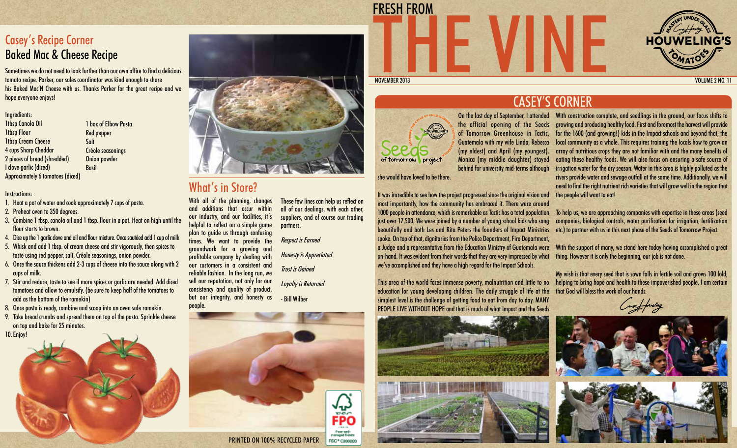## Casey's Recipe Corner Baked Mac & Cheese Recipe

Sometimes we do not need to look further than our own office to find a delicious tomato recipe. Parker, our sales coordinator was kind enough to share his Baked Mac'N Cheese with us. Thanks Parker for the great recipe and we hope everyone enjoys!

#### Ingredients:

1tbsp Canola Oil 1tbsp Flour 1tbsp Cream Cheese 4 cups Sharp Cheddar 2 pieces of bread (shredded) I clove garlic (diced) Approximately 6 tomatoes (diced) 1 box of Elbow Pasta Red pepper Salt Créole seasonings Onion powder Basil

Instructions:

- 1. Heat a pot of water and cook approximately 7 cups of pasta.
- 2. Preheat oven to 350 degrees.
- 3. Combine 1 tbsp. canola oil and 1 tbsp. flour in a pot. Heat on high until the flour starts to brown.
- 4. Dice up the 1 garlic clove and oil and flour mixture. Once sautéed add 1 cup of milk
- 5. Whisk and add 1 tbsp. of cream cheese and stir vigorously, then spices to taste using red pepper, salt, Créole seasonings, onion powder.
- 6. Once the sauce thickens add 2-3 cups of cheese into the sauce along with 2 cups of milk.
- 7. Stir and reduce, taste to see if more spices or garlic are needed. Add diced tomatoes and allow to emulsify. (be sure to keep half of the tomatoes to add as the bottom of the ramekin)
- 8. Once pasta is ready, combine and scoop into an oven safe ramekin.
- 9. Take bread crumbs and spread them on top of the pasta. Sprinkle cheese on top and bake for 25 minutes.





## What's in Store?

With all of the planning, changes and additions that occur within our industry, and our facilities, it's helpful to reflect on a simple game plan to guide us through confusing times. We want to provide the groundwork for a growing and profitable company by dealing with our customers in a consistent and reliable fashion. In the long run, we sell our reputation, not only for our consistency and quality of product, but our integrity, and honesty as people.

These few lines can help us reflect on all of our dealings, with each other, suppliers, and of course our trading partners.

Respect is Earned Honesty is Appreciated Trust is Gained Loyalty is Returned

- Bill Wilber

THE VINE

FRESH FROM





On the last day of September, I attended the official opening of the Seeds of Tomorrow Greenhouse in Tactic, Guatemala with my wife Linda, Rebecca (my eldest) and April (my youngest). Monica (my middle daughter) stayed behind for university mid-terms although

she would have loved to be there.

It was incredible to see how the project progressed since the original vision and most importantly, how the community has embraced it. There were around 1000 people in attendance, which is remarkable as Tactic has a total population just over 17,500. We were joined by a number of young school kids who sang beautifully and both Les and Rita Peters the founders of Impact Ministries spoke. On top of that, dignitaries from the Police Department, Fire Department, a Judge and a representative from the Education Ministry of Guatemala were on-hand. It was evident from their words that they are very impressed by what we've accomplished and they have a high regard for the Impact Schools.

This area of the world faces immense poverty, malnutrition and little to no education for young developing children. The daily struggle of life at the simplest level is the challenge of getting food to eat from day to day. MANY PEOPLE LIVE WITHOUT HOPE and that is much of what Impact and the Seeds





NOVEMBER 2013 VOLUME 2 NO. 11

# CASEY'S CORNER

With construction complete, and seedlings in the ground, our focus shifts to growing and producing healthy food. First and foremost the harvest will provide for the 1600 (and growing!) kids in the Impact schools and beyond that, the local community as a whole. This requires training the locals how to grow an array of nutritious crops they are not familiar with and the many benefits of eating these healthy foods. We will also focus on ensuring a safe source of irrigation water for the dry season. Water in this area is highly polluted as the rivers provide water and sewage outfall at the same time. Additionally, we will need to find the right nutrient rich varieties that will grow well in the region that the people will want to eat!

To help us, we are approaching companies with expertise in these areas (seed companies, biological controls, water purification for irrigation, fertilization etc.) to partner with us in this next phase of the Seeds of Tomorrow Project.

With the support of many, we stand here today having accomplished a great thing. However it is only the beginning, our job is not done.

My wish is that every seed that is sown falls in fertile soil and grows 100 fold, helping to bring hope and health to these impoverished people. I am certain that God will bless the work of our hands.